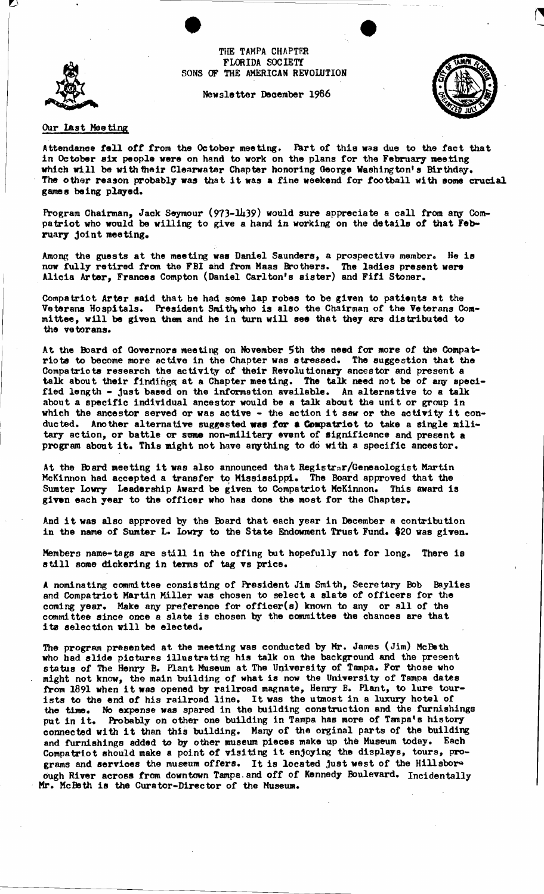THE TAMPA CHAPTER FLORIDA SOCIETY SONS OF THE AMERICAN REVOLUTION

Newsletter Deoember 1986





## Our last Meeting

Attendance fell off trom the October meeting. Fart of this was due to the fact that in October six people were on hand to work on the plans for the February meeting which will be with their Clearwater Chapter honoring George Washington's Birthday. The other reason probably was that it was a tine weekend tor football with some crucial games being played.

Program Chairman, Jack Seymour (973-1439) would sure appreciate a call from any Compatriot who would be willing to give a hand in working on the details of that February joint meeting.

Among the guests at the meeting was Daniel Saunders, a prospective member. He is now fully retired from the FBI and from Maas Brothers. The ladies present were Alicia Arter, Frances Compton (Daniel Carlton's sister) and Fifi Stoner.

Compatriot Arter said that he had some lap robes to be given to patients at the Veterans Hospitals. President Smith, who is also the Chairman of the Veterans Com-<br>mittee, will be given them and he in turn will see that they are distributed to mittee, will be given them and he in turn will see that they are distributed to the vetorans.

At the Board of Governors meeting on November 5th the need for more of the Compatriots to become more active in the Chapter was stressed. The suggestion that the Compatriots research the activity of their Revolutionary ancestor and present a talk about their findings at a Chapter meeting. The talk need not be of any specified length - just based on the information available. An alternative to a talk about a specific individual ancestor would be a talk about the unit or group in about a specific individual ancestor would be a taik about the unit or group in<br>which the ancestor served or was active - the action it saw or the activity it conducted. Another alternative suggested was for a Compatriot to take a single military action, or battle or some non-military event of significance and present a program about it. This might not have anything to do with a specific ancestor.

At the Board meeting it was also announced that  $Registrr/Geneaologist Martin$ McKinnon had accepted a transfer to Mississippi. The Board approved that the Sumter lowry Leadership Award be given to Compatriot McKinnon. This sward is given each year to the officer who has done the most for the Chapter.

And it was also approved by the Board that each year in December a contribution in the name of Sumter L. Lowry to the State Endowment Trust Fund. \$20 was given.

Members name-tags are still in the offing but hopefully not for long. There is still some dickering in terms of tag vs price.

A nominating commi ttee consisting of President Jim Smi th, Secretary Bob Baylies and Compatriot Martin Miller was chosen to select a slate of officers for the coming year. Make any preference for officer(s) known to any or all of the committee since once a slate is chosen by the committee the chances are that its selection will be elected.

The program presented at the meeting was conducted by Mr. James (Jim) McBeth who had slide pictures illustrating his talk on the background and the present status of The Henry B. Plant Museum at The University of Tampa. For those who might not know, the main building of what is now the University of Tampa dates might not know, the main building of what is now the university of lampa dates<br>from 1891 when it was opened by railroad magnate, Henry B. Plant, to lure tourists to the end of his railroad line. It was the utmost in a luxury hotel of the time. No expense was spared in the building construction and the furnishings put in it. Probably on other one building in Tampa has more of Tampa's history connected with it than this building. Many of the orginal parts of the building and fUrnishings added to by other museum pieces make up the Museum today. Each Compatriot should make a point of visiting it enjoying the displays, tours, programs and services the museum offers. It is located just west of the Hillsbor" ough River across from downtown Tampa. and off of Kennedy Boulevard. Incidentally Mr. McBeth is the Curator-Director of the Museum.